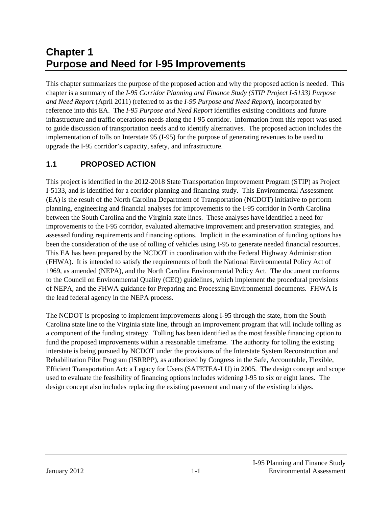# **Chapter 1 Purpose and Need for I-95 Improvements**

This chapter summarizes the purpose of the proposed action and why the proposed action is needed. This chapter is a summary of the *I-95 Corridor Planning and Finance Study (STIP Project I-5133) Purpose and Need Report* (April 2011) (referred to as the *I-95 Purpose and Need Report*), incorporated by reference into this EA. The *I-95 Purpose and Need Report* identifies existing conditions and future infrastructure and traffic operations needs along the I-95 corridor. Information from this report was used to guide discussion of transportation needs and to identify alternatives. The proposed action includes the implementation of tolls on Interstate 95 (I-95) for the purpose of generating revenues to be used to upgrade the I-95 corridor's capacity, safety, and infrastructure.

### **1.1 PROPOSED ACTION**

This project is identified in the 2012-2018 State Transportation Improvement Program (STIP) as Project I-5133, and is identified for a corridor planning and financing study. This Environmental Assessment (EA) is the result of the North Carolina Department of Transportation (NCDOT) initiative to perform planning, engineering and financial analyses for improvements to the I-95 corridor in North Carolina between the South Carolina and the Virginia state lines. These analyses have identified a need for improvements to the I-95 corridor, evaluated alternative improvement and preservation strategies, and assessed funding requirements and financing options. Implicit in the examination of funding options has been the consideration of the use of tolling of vehicles using I-95 to generate needed financial resources. This EA has been prepared by the NCDOT in coordination with the Federal Highway Administration (FHWA). It is intended to satisfy the requirements of both the National Environmental Policy Act of 1969, as amended (NEPA), and the North Carolina Environmental Policy Act. The document conforms to the Council on Environmental Quality (CEQ) guidelines, which implement the procedural provisions of NEPA, and the FHWA guidance for Preparing and Processing Environmental documents. FHWA is the lead federal agency in the NEPA process.

The NCDOT is proposing to implement improvements along I-95 through the state, from the South Carolina state line to the Virginia state line, through an improvement program that will include tolling as a component of the funding strategy. Tolling has been identified as the most feasible financing option to fund the proposed improvements within a reasonable timeframe. The authority for tolling the existing interstate is being pursued by NCDOT under the provisions of the Interstate System Reconstruction and Rehabilitation Pilot Program (ISRRPP), as authorized by Congress in the Safe, Accountable, Flexible, Efficient Transportation Act: a Legacy for Users (SAFETEA-LU) in 2005. The design concept and scope used to evaluate the feasibility of financing options includes widening I-95 to six or eight lanes. The design concept also includes replacing the existing pavement and many of the existing bridges.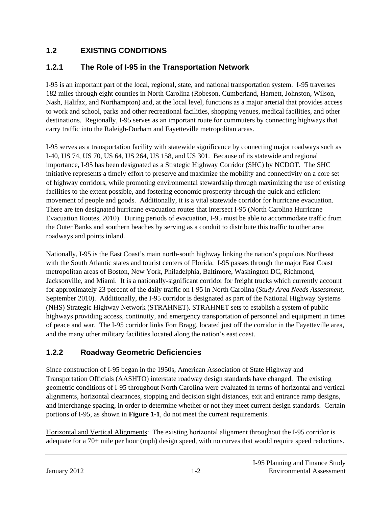# **1.2 EXISTING CONDITIONS**

# **1.2.1 The Role of I-95 in the Transportation Network**

I-95 is an important part of the local, regional, state, and national transportation system. I-95 traverses 182 miles through eight counties in North Carolina (Robeson, Cumberland, Harnett, Johnston, Wilson, Nash, Halifax, and Northampton) and, at the local level, functions as a major arterial that provides access to work and school, parks and other recreational facilities, shopping venues, medical facilities, and other destinations. Regionally, I-95 serves as an important route for commuters by connecting highways that carry traffic into the Raleigh-Durham and Fayetteville metropolitan areas.

I-95 serves as a transportation facility with statewide significance by connecting major roadways such as I-40, US 74, US 70, US 64, US 264, US 158, and US 301. Because of its statewide and regional importance, I-95 has been designated as a Strategic Highway Corridor (SHC) by NCDOT. The SHC initiative represents a timely effort to preserve and maximize the mobility and connectivity on a core set of highway corridors, while promoting environmental stewardship through maximizing the use of existing facilities to the extent possible, and fostering economic prosperity through the quick and efficient movement of people and goods. Additionally, it is a vital statewide corridor for hurricane evacuation. There are ten designated hurricane evacuation routes that intersect I-95 (North Carolina Hurricane Evacuation Routes, 2010). During periods of evacuation, I-95 must be able to accommodate traffic from the Outer Banks and southern beaches by serving as a conduit to distribute this traffic to other area roadways and points inland.

Nationally, I-95 is the East Coast's main north-south highway linking the nation's populous Northeast with the South Atlantic states and tourist centers of Florida. I-95 passes through the major East Coast metropolitan areas of Boston, New York, Philadelphia, Baltimore, Washington DC, Richmond, Jacksonville, and Miami. It is a nationally-significant corridor for freight trucks which currently account for approximately 23 percent of the daily traffic on I-95 in North Carolina (*Study Area Needs Assessment,*  September 2010). Additionally, the I-95 corridor is designated as part of the National Highway Systems (NHS) Strategic Highway Network (STRAHNET). STRAHNET sets to establish a system of public highways providing access, continuity, and emergency transportation of personnel and equipment in times of peace and war. The I-95 corridor links Fort Bragg, located just off the corridor in the Fayetteville area, and the many other military facilities located along the nation's east coast.

### **1.2.2 Roadway Geometric Deficiencies**

Since construction of I-95 began in the 1950s, American Association of State Highway and Transportation Officials (AASHTO) interstate roadway design standards have changed. The existing geometric conditions of I-95 throughout North Carolina were evaluated in terms of horizontal and vertical alignments, horizontal clearances, stopping and decision sight distances, exit and entrance ramp designs, and interchange spacing, in order to determine whether or not they meet current design standards. Certain portions of I-95, as shown in **Figure 1-1**, do not meet the current requirements.

Horizontal and Vertical Alignments: The existing horizontal alignment throughout the I-95 corridor is adequate for a 70+ mile per hour (mph) design speed, with no curves that would require speed reductions.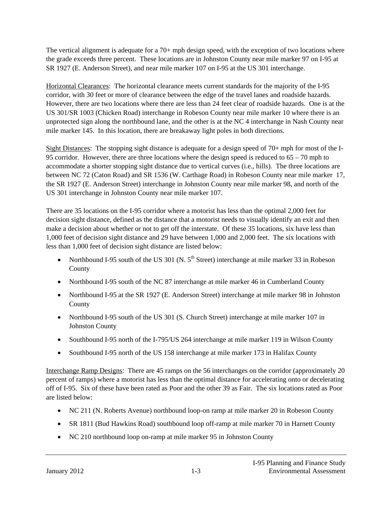The vertical alignment is adequate for a 70+ mph design speed, with the exception of two locations where the grade exceeds three percent. These locations are in Johnston County near mile marker 97 on I-95 at SR 1927 (E. Anderson Street), and near mile marker 107 on I-95 at the US 301 interchange.

Horizontal Clearances: The horizontal clearance meets current standards for the majority of the I-95 corridor, with 30 feet or more of clearance between the edge of the travel lanes and roadside hazards. However, there are two locations where there are less than 24 feet clear of roadside hazards. One is at the US 301/SR 1003 (Chicken Road) interchange in Robeson County near mile marker 10 where there is an unprotected sign along the northbound lane, and the other is at the NC 4 interchange in Nash County near mile marker 145. In this location, there are breakaway light poles in both directions.

Sight Distances: The stopping sight distance is adequate for a design speed of 70+ mph for most of the I-95 corridor. However, there are three locations where the design speed is reduced to 65 – 70 mph to accommodate a shorter stopping sight distance due to vertical curves (i.e., hills). The three locations are between NC 72 (Caton Road) and SR 1536 (W. Carthage Road) in Robeson County near mile marker 17, the SR 1927 (E. Anderson Street) interchange in Johnston County near mile marker 98, and north of the US 301 interchange in Johnston County near mile marker 107.

There are 35 locations on the I-95 corridor where a motorist has less than the optimal 2,000 feet for decision sight distance, defined as the distance that a motorist needs to visually identify an exit and then make a decision about whether or not to get off the interstate. Of these 35 locations, six have less than 1,000 feet of decision sight distance and 29 have between 1,000 and 2,000 feet. The six locations with less than 1,000 feet of decision sight distance are listed below:

- Northbound I-95 south of the US 301 (N.  $5<sup>th</sup>$  Street) interchange at mile marker 33 in Robeson County
- Northbound I-95 south of the NC 87 interchange at mile marker 46 in Cumberland County
- Northbound I-95 at the SR 1927 (E. Anderson Street) interchange at mile marker 98 in Johnston County
- Northbound I-95 south of the US 301 (S. Church Street) interchange at mile marker 107 in Johnston County
- Southbound I-95 north of the I-795/US 264 interchange at mile marker 119 in Wilson County
- Southbound I-95 north of the US 158 interchange at mile marker 173 in Halifax County

Interchange Ramp Designs: There are 45 ramps on the 56 interchanges on the corridor (approximately 20 percent of ramps) where a motorist has less than the optimal distance for accelerating onto or decelerating off of I-95. Six of these have been rated as Poor and the other 39 as Fair. The six locations rated as Poor are listed below:

- NC 211 (N. Roberts Avenue) northbound loop-on ramp at mile marker 20 in Robeson County
- SR 1811 (Bud Hawkins Road) southbound loop off-ramp at mile marker 70 in Harnett County
- NC 210 northbound loop on-ramp at mile marker 95 in Johnston County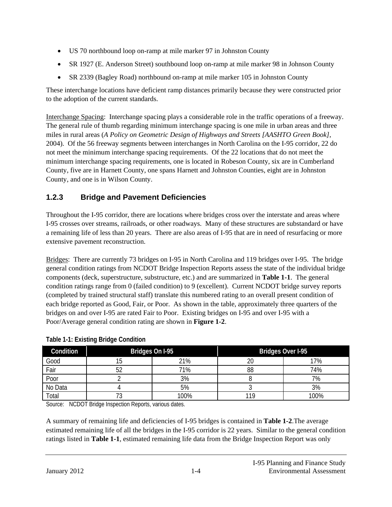- US 70 northbound loop on-ramp at mile marker 97 in Johnston County
- SR 1927 (E. Anderson Street) southbound loop on-ramp at mile marker 98 in Johnson County
- SR 2339 (Bagley Road) northbound on-ramp at mile marker 105 in Johnston County

These interchange locations have deficient ramp distances primarily because they were constructed prior to the adoption of the current standards.

Interchange Spacing: Interchange spacing plays a considerable role in the traffic operations of a freeway. The general rule of thumb regarding minimum interchange spacing is one mile in urban areas and three miles in rural areas (*A Policy on Geometric Design of Highways and Streets [AASHTO Green Book]*, 2004). Of the 56 freeway segments between interchanges in North Carolina on the I-95 corridor, 22 do not meet the minimum interchange spacing requirements. Of the 22 locations that do not meet the minimum interchange spacing requirements, one is located in Robeson County, six are in Cumberland County, five are in Harnett County, one spans Harnett and Johnston Counties, eight are in Johnston County, and one is in Wilson County.

# **1.2.3 Bridge and Pavement Deficiencies**

Throughout the I-95 corridor, there are locations where bridges cross over the interstate and areas where I-95 crosses over streams, railroads, or other roadways. Many of these structures are substandard or have a remaining life of less than 20 years. There are also areas of I-95 that are in need of resurfacing or more extensive pavement reconstruction.

Bridges: There are currently 73 bridges on I-95 in North Carolina and 119 bridges over I-95. The bridge general condition ratings from NCDOT Bridge Inspection Reports assess the state of the individual bridge components (deck, superstructure, substructure, etc.) and are summarized in **Table 1-1**. The general condition ratings range from 0 (failed condition) to 9 (excellent). Current NCDOT bridge survey reports (completed by trained structural staff) translate this numbered rating to an overall present condition of each bridge reported as Good, Fair, or Poor. As shown in the table, approximately three quarters of the bridges on and over I-95 are rated Fair to Poor. Existing bridges on I-95 and over I-95 with a Poor/Average general condition rating are shown in **Figure 1-2**.

| Condition | Bridges On I-95 |      | Bridges Over I-95 |      |  |
|-----------|-----------------|------|-------------------|------|--|
| Good      |                 | 21%  | 20                | 17%  |  |
| Fair      |                 | 71%  | 88                | 74%  |  |
| Poor      |                 | 3%   |                   | 7%   |  |
| No Data   |                 | 5%   |                   | 3%   |  |
| Total     | ັ               | 100% | 110               | 100% |  |

### **Table 1-1: Existing Bridge Condition**

Source: NCDOT Bridge Inspection Reports, various dates.

A summary of remaining life and deficiencies of I-95 bridges is contained in **Table 1-2**.The average estimated remaining life of all the bridges in the I-95 corridor is 22 years. Similar to the general condition ratings listed in **Table 1-1**, estimated remaining life data from the Bridge Inspection Report was only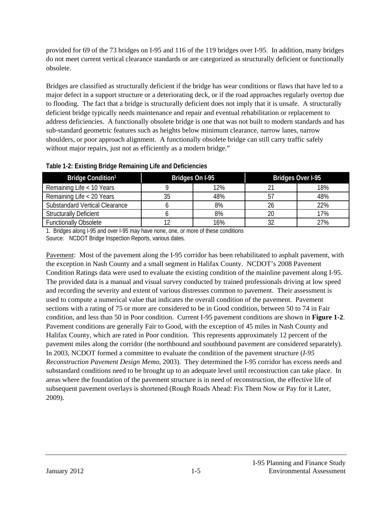provided for 69 of the 73 bridges on I-95 and 116 of the 119 bridges over I-95. In addition, many bridges do not meet current vertical clearance standards or are categorized as structurally deficient or functionally obsolete.

Bridges are classified as structurally deficient if the bridge has wear conditions or flaws that have led to a major defect in a support structure or a deteriorating deck, or if the road approaches regularly overtop due to flooding. The fact that a bridge is structurally deficient does not imply that it is unsafe. A structurally deficient bridge typically needs maintenance and repair and eventual rehabilitation or replacement to address deficiencies. A functionally obsolete bridge is one that was not built to modern standards and has sub-standard geometric features such as heights below minimum clearance, narrow lanes, narrow shoulders, or poor approach alignment. A functionally obsolete bridge can still carry traffic safely without major repairs, just not as efficiently as a modern bridge."

| Bridge Condition <sup>1</sup>         | Bridges On I-95 |     | <b>Bridges Over I-95</b> |     |  |
|---------------------------------------|-----------------|-----|--------------------------|-----|--|
| Remaining Life < 10 Years             |                 | 12% |                          | 18% |  |
| Remaining Life < 20 Years             | 35              | 48% | 57                       | 48% |  |
| <b>Substandard Vertical Clearance</b> |                 | 8%  | 26                       | 22% |  |
| <b>Structurally Deficient</b>         |                 | 8%  | 20                       | 17% |  |
| <b>Functionally Obsolete</b>          | 12              | 16% |                          | 27% |  |

**Table 1-2: Existing Bridge Remaining Life and Deficiencies**

1. Bridges along I-95 and over I-95 may have none, one, or more of these conditions Source: NCDOT Bridge Inspection Reports, various dates.

Pavement: Most of the pavement along the I-95 corridor has been rehabilitated to asphalt pavement, with the exception in Nash County and a small segment in Halifax County. NCDOT's 2008 Pavement Condition Ratings data were used to evaluate the existing condition of the mainline pavement along I-95. The provided data is a manual and visual survey conducted by trained professionals driving at low speed and recording the severity and extent of various distresses common to pavement. Their assessment is used to compute a numerical value that indicates the overall condition of the pavement. Pavement sections with a rating of 75 or more are considered to be in Good condition, between 50 to 74 in Fair condition, and less than 50 in Poor condition. Current I-95 pavement conditions are shown in **Figure 1-2**. Pavement conditions are generally Fair to Good, with the exception of 45 miles in Nash County and Halifax County, which are rated in Poor condition. This represents approximately 12 percent of the pavement miles along the corridor (the northbound and southbound pavement are considered separately). In 2003, NCDOT formed a committee to evaluate the condition of the pavement structure (*I-95 Reconstruction Pavement Design Memo*, 2003). They determined the I-95 corridor has excess needs and substandard conditions need to be brought up to an adequate level until reconstruction can take place. In areas where the foundation of the pavement structure is in need of reconstruction, the effective life of subsequent pavement overlays is shortened (Rough Roads Ahead: Fix Them Now or Pay for it Later, 2009).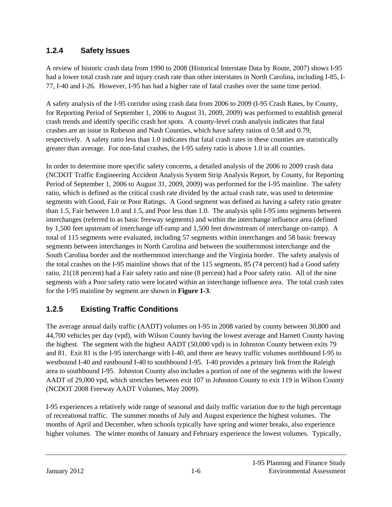### **1.2.4 Safety Issues**

A review of historic crash data from 1990 to 2008 (Historical Interstate Data by Route, 2007) shows I-95 had a lower total crash rate and injury crash rate than other interstates in North Carolina, including I-85, I-77, I-40 and I-26. However, I-95 has had a higher rate of fatal crashes over the same time period.

A safety analysis of the I-95 corridor using crash data from 2006 to 2009 (I-95 Crash Rates, by County, for Reporting Period of September 1, 2006 to August 31, 2009, 2009) was performed to establish general crash trends and identify specific crash hot spots. A county-level crash analysis indicates that fatal crashes are an issue in Robeson and Nash Counties, which have safety ratios of 0.58 and 0.79, respectively. A safety ratio less than 1.0 indicates that fatal crash rates in these counties are statistically greater than average. For non-fatal crashes, the I-95 safety ratio is above 1.0 in all counties.

In order to determine more specific safety concerns, a detailed analysis of the 2006 to 2009 crash data (NCDOT Traffic Engineering Accident Analysis System Strip Analysis Report, by County, for Reporting Period of September 1, 2006 to August 31, 2009, 2009) was performed for the I-95 mainline. The safety ratio, which is defined as the critical crash rate divided by the actual crash rate, was used to determine segments with Good, Fair or Poor Ratings. A Good segment was defined as having a safety ratio greater than 1.5, Fair between 1.0 and 1.5, and Poor less than 1.0. The analysis split I-95 into segments between interchanges (referred to as basic freeway segments) and within the interchange influence area (defined by 1,500 feet upstream of interchange off-ramp and 1,500 feet downstream of interchange on-ramp). A total of 115 segments were evaluated, including 57 segments within interchanges and 58 basic freeway segments between interchanges in North Carolina and between the southernmost interchange and the South Carolina border and the northernmost interchange and the Virginia border. The safety analysis of the total crashes on the I-95 mainline shows that of the 115 segments, 85 (74 percent) had a Good safety ratio, 21(18 percent) had a Fair safety ratio and nine (8 percent) had a Poor safety ratio. All of the nine segments with a Poor safety ratio were located within an interchange influence area. The total crash rates for the I-95 mainline by segment are shown in **Figure 1-3**.

### **1.2.5 Existing Traffic Conditions**

The average annual daily traffic (AADT) volumes on I-95 in 2008 varied by county between 30,800 and 44,700 vehicles per day (vpd), with Wilson County having the lowest average and Harnett County having the highest. The segment with the highest AADT (50,000 vpd) is in Johnston County between exits 79 and 81. Exit 81 is the I-95 interchange with I-40, and there are heavy traffic volumes northbound I-95 to westbound I-40 and eastbound I-40 to southbound I-95. I-40 provides a primary link from the Raleigh area to southbound I-95. Johnston County also includes a portion of one of the segments with the lowest AADT of 29,000 vpd, which stretches between exit 107 in Johnston County to exit 119 in Wilson County (NCDOT 2008 Freeway AADT Volumes, May 2009).

I-95 experiences a relatively wide range of seasonal and daily traffic variation due to the high percentage of recreational traffic. The summer months of July and August experience the highest volumes. The months of April and December, when schools typically have spring and winter breaks, also experience higher volumes. The winter months of January and February experience the lowest volumes. Typically,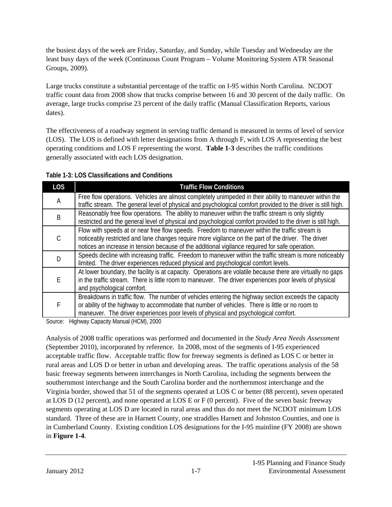the busiest days of the week are Friday, Saturday, and Sunday, while Tuesday and Wednesday are the least busy days of the week (Continuous Count Program – Volume Monitoring System ATR Seasonal Groups, 2009).

Large trucks constitute a substantial percentage of the traffic on I-95 within North Carolina. NCDOT traffic count data from 2008 show that trucks comprise between 16 and 30 percent of the daily traffic. On average, large trucks comprise 23 percent of the daily traffic (Manual Classification Reports, various dates).

The effectiveness of a roadway segment in serving traffic demand is measured in terms of level of service (LOS). The LOS is defined with letter designations from A through F, with LOS A representing the best operating conditions and LOS F representing the worst. **Table 1-3** describes the traffic conditions generally associated with each LOS designation.

| Table 1-3: LOS Classifications and Conditions |
|-----------------------------------------------|
|-----------------------------------------------|

| <b>LOS</b> | <b>Traffic Flow Conditions</b>                                                                                                                                                                                                                                                                           |
|------------|----------------------------------------------------------------------------------------------------------------------------------------------------------------------------------------------------------------------------------------------------------------------------------------------------------|
| Α          | Free flow operations. Vehicles are almost completely unimpeded in their ability to maneuver within the<br>traffic stream. The general level of physical and psychological comfort provided to the driver is still high.                                                                                  |
| B          | Reasonably free flow operations. The ability to maneuver within the traffic stream is only slightly<br>restricted and the general level of physical and psychological comfort provided to the driver is still high.                                                                                      |
|            | Flow with speeds at or near free flow speeds. Freedom to maneuver within the traffic stream is<br>noticeably restricted and lane changes require more vigilance on the part of the driver. The driver<br>notices an increase in tension because of the additional vigilance required for safe operation. |
|            | Speeds decline with increasing traffic. Freedom to maneuver within the traffic stream is more noticeably<br>limited. The driver experiences reduced physical and psychological comfort levels.                                                                                                           |
| F          | At lower boundary, the facility is at capacity. Operations are volatile because there are virtually no qaps<br>in the traffic stream. There is little room to maneuver. The driver experiences poor levels of physical<br>and psychological comfort.                                                     |
| F          | Breakdowns in traffic flow. The number of vehicles entering the highway section exceeds the capacity<br>or ability of the highway to accommodate that number of vehicles. There is little or no room to<br>maneuver. The driver experiences poor levels of physical and psychological comfort.           |

Source: Highway Capacity Manual (HCM), 2000

Analysis of 2008 traffic operations was performed and documented in the *Study Area Needs Assessment*  (September 2010), incorporated by reference. In 2008, most of the segments of I-95 experienced acceptable traffic flow. Acceptable traffic flow for freeway segments is defined as LOS C or better in rural areas and LOS D or better in urban and developing areas. The traffic operations analysis of the 58 basic freeway segments between interchanges in North Carolina, including the segments between the southernmost interchange and the South Carolina border and the northernmost interchange and the Virginia border, showed that 51 of the segments operated at LOS C or better (88 percent), seven operated at LOS D (12 percent), and none operated at LOS E or F (0 percent). Five of the seven basic freeway segments operating at LOS D are located in rural areas and thus do not meet the NCDOT minimum LOS standard. Three of these are in Harnett County, one straddles Harnett and Johnston Counties, and one is in Cumberland County. Existing condition LOS designations for the I-95 mainline (FY 2008) are shown in **Figure 1-4**.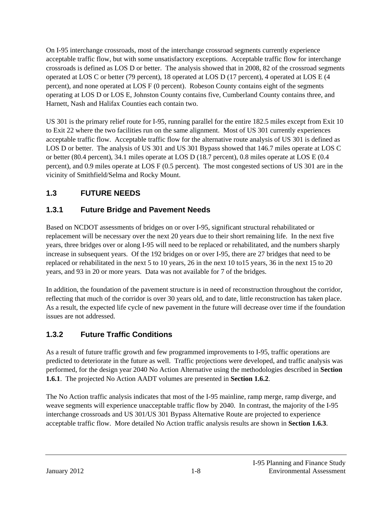On I-95 interchange crossroads, most of the interchange crossroad segments currently experience acceptable traffic flow, but with some unsatisfactory exceptions. Acceptable traffic flow for interchange crossroads is defined as LOS D or better. The analysis showed that in 2008, 82 of the crossroad segments operated at LOS C or better (79 percent), 18 operated at LOS D (17 percent), 4 operated at LOS E (4 percent), and none operated at LOS F (0 percent). Robeson County contains eight of the segments operating at LOS D or LOS E, Johnston County contains five, Cumberland County contains three, and Harnett, Nash and Halifax Counties each contain two.

US 301 is the primary relief route for I-95, running parallel for the entire 182.5 miles except from Exit 10 to Exit 22 where the two facilities run on the same alignment. Most of US 301 currently experiences acceptable traffic flow. Acceptable traffic flow for the alternative route analysis of US 301 is defined as LOS D or better. The analysis of US 301 and US 301 Bypass showed that 146.7 miles operate at LOS C or better (80.4 percent), 34.1 miles operate at LOS D (18.7 percent), 0.8 miles operate at LOS E (0.4 percent), and 0.9 miles operate at LOS F (0.5 percent). The most congested sections of US 301 are in the vicinity of Smithfield/Selma and Rocky Mount.

# **1.3 FUTURE NEEDS**

# **1.3.1 Future Bridge and Pavement Needs**

Based on NCDOT assessments of bridges on or over I-95, significant structural rehabilitated or replacement will be necessary over the next 20 years due to their short remaining life. In the next five years, three bridges over or along I-95 will need to be replaced or rehabilitated, and the numbers sharply increase in subsequent years. Of the 192 bridges on or over I-95, there are 27 bridges that need to be replaced or rehabilitated in the next 5 to 10 years, 26 in the next 10 to15 years, 36 in the next 15 to 20 years, and 93 in 20 or more years. Data was not available for 7 of the bridges.

In addition, the foundation of the pavement structure is in need of reconstruction throughout the corridor, reflecting that much of the corridor is over 30 years old, and to date, little reconstruction has taken place. As a result, the expected life cycle of new pavement in the future will decrease over time if the foundation issues are not addressed.

# **1.3.2 Future Traffic Conditions**

As a result of future traffic growth and few programmed improvements to I-95, traffic operations are predicted to deteriorate in the future as well. Traffic projections were developed, and traffic analysis was performed, for the design year 2040 No Action Alternative using the methodologies described in **Section 1.6.1**. The projected No Action AADT volumes are presented in **Section 1.6.2**.

The No Action traffic analysis indicates that most of the I-95 mainline, ramp merge, ramp diverge, and weave segments will experience unacceptable traffic flow by 2040. In contrast, the majority of the I-95 interchange crossroads and US 301/US 301 Bypass Alternative Route are projected to experience acceptable traffic flow. More detailed No Action traffic analysis results are shown in **Section 1.6.3**.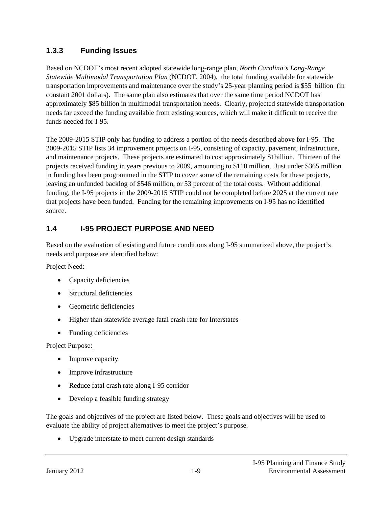### **1.3.3 Funding Issues**

Based on NCDOT's most recent adopted statewide long-range plan, *North Carolina's Long-Range Statewide Multimodal Transportation Plan* (NCDOT, 2004), the total funding available for statewide transportation improvements and maintenance over the study's 25-year planning period is \$55 billion (in constant 2001 dollars). The same plan also estimates that over the same time period NCDOT has approximately \$85 billion in multimodal transportation needs. Clearly, projected statewide transportation needs far exceed the funding available from existing sources, which will make it difficult to receive the funds needed for I-95.

The 2009-2015 STIP only has funding to address a portion of the needs described above for I-95. The 2009-2015 STIP lists 34 improvement projects on I-95, consisting of capacity, pavement, infrastructure, and maintenance projects. These projects are estimated to cost approximately \$1billion. Thirteen of the projects received funding in years previous to 2009, amounting to \$110 million. Just under \$365 million in funding has been programmed in the STIP to cover some of the remaining costs for these projects, leaving an unfunded backlog of \$546 million, or 53 percent of the total costs. Without additional funding, the I-95 projects in the 2009-2015 STIP could not be completed before 2025 at the current rate that projects have been funded. Funding for the remaining improvements on I-95 has no identified source.

## **1.4 I-95 PROJECT PURPOSE AND NEED**

Based on the evaluation of existing and future conditions along I-95 summarized above, the project's needs and purpose are identified below:

#### Project Need:

- Capacity deficiencies
- Structural deficiencies
- Geometric deficiencies
- Higher than statewide average fatal crash rate for Interstates
- Funding deficiencies

#### Project Purpose:

- Improve capacity
- Improve infrastructure
- Reduce fatal crash rate along I-95 corridor
- Develop a feasible funding strategy

The goals and objectives of the project are listed below. These goals and objectives will be used to evaluate the ability of project alternatives to meet the project's purpose.

• Upgrade interstate to meet current design standards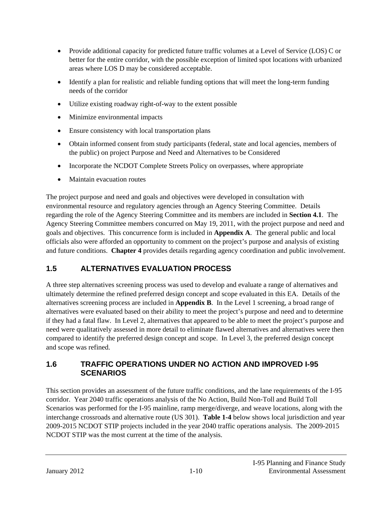- Provide additional capacity for predicted future traffic volumes at a Level of Service (LOS) C or better for the entire corridor, with the possible exception of limited spot locations with urbanized areas where LOS D may be considered acceptable.
- Identify a plan for realistic and reliable funding options that will meet the long-term funding needs of the corridor
- Utilize existing roadway right-of-way to the extent possible
- Minimize environmental impacts
- Ensure consistency with local transportation plans
- Obtain informed consent from study participants (federal, state and local agencies, members of the public) on project Purpose and Need and Alternatives to be Considered
- Incorporate the NCDOT Complete Streets Policy on overpasses, where appropriate
- Maintain evacuation routes

The project purpose and need and goals and objectives were developed in consultation with environmental resource and regulatory agencies through an Agency Steering Committee. Details regarding the role of the Agency Steering Committee and its members are included in **Section 4.1**. The Agency Steering Committee members concurred on May 19, 2011, with the project purpose and need and goals and objectives. This concurrence form is included in **Appendix A**. The general public and local officials also were afforded an opportunity to comment on the project's purpose and analysis of existing and future conditions. **Chapter 4** provides details regarding agency coordination and public involvement.

# **1.5 ALTERNATIVES EVALUATION PROCESS**

A three step alternatives screening process was used to develop and evaluate a range of alternatives and ultimately determine the refined preferred design concept and scope evaluated in this EA. Details of the alternatives screening process are included in **Appendix B**. In the Level 1 screening, a broad range of alternatives were evaluated based on their ability to meet the project's purpose and need and to determine if they had a fatal flaw. In Level 2, alternatives that appeared to be able to meet the project's purpose and need were qualitatively assessed in more detail to eliminate flawed alternatives and alternatives were then compared to identify the preferred design concept and scope. In Level 3, the preferred design concept and scope was refined.

### **1.6 TRAFFIC OPERATIONS UNDER NO ACTION AND IMPROVED I-95 SCENARIOS**

This section provides an assessment of the future traffic conditions, and the lane requirements of the I-95 corridor. Year 2040 traffic operations analysis of the No Action, Build Non-Toll and Build Toll Scenarios was performed for the I-95 mainline, ramp merge/diverge, and weave locations, along with the interchange crossroads and alternative route (US 301). **Table 1-4** below shows local jurisdiction and year 2009-2015 NCDOT STIP projects included in the year 2040 traffic operations analysis. The 2009-2015 NCDOT STIP was the most current at the time of the analysis.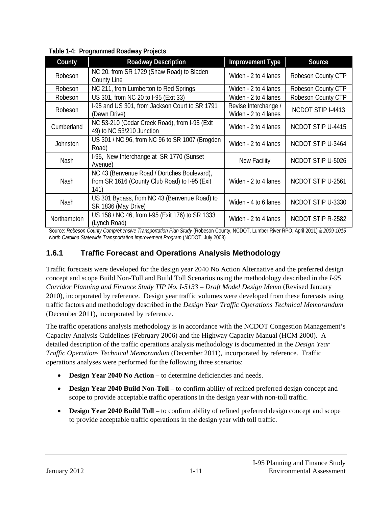| County      | <b>Roadway Description</b>                                                                           | <b>Improvement Type</b>                      | Source                   |
|-------------|------------------------------------------------------------------------------------------------------|----------------------------------------------|--------------------------|
| Robeson     | NC 20, from SR 1729 (Shaw Road) to Bladen<br>County Line                                             | Widen - 2 to 4 lanes                         | Robeson County CTP       |
| Robeson     | NC 211, from Lumberton to Red Springs                                                                | Widen - 2 to 4 lanes                         | Robeson County CTP       |
| Robeson     | US 301, from NC 20 to I-95 (Exit 33)                                                                 | Widen - 2 to 4 lanes                         | Robeson County CTP       |
| Robeson     | I-95 and US 301, from Jackson Court to SR 1791<br>(Dawn Drive)                                       | Revise Interchange /<br>Widen - 2 to 4 lanes | NCDOT STIP I-4413        |
| Cumberland  | NC 53-210 (Cedar Creek Road), from I-95 (Exit<br>49) to NC 53/210 Junction                           | Widen - 2 to 4 lanes                         | <b>NCDOT STIP U-4415</b> |
| Johnston    | US 301 / NC 96, from NC 96 to SR 1007 (Brogden<br>Road)                                              | Widen - 2 to 4 lanes                         | NCDOT STIP U-3464        |
| Nash        | I-95, New Interchange at SR 1770 (Sunset<br>Avenue)                                                  | <b>New Facility</b>                          | NCDOT STIP U-5026        |
| Nash        | NC 43 (Benvenue Road / Dortches Boulevard),<br>from SR 1616 (County Club Road) to I-95 (Exit<br>141) | Widen - 2 to 4 lanes                         | NCDOT STIP U-2561        |
| Nash        | US 301 Bypass, from NC 43 (Benvenue Road) to<br>SR 1836 (May Drive)                                  | Widen - 4 to 6 lanes                         | NCDOT STIP U-3330        |
| Northampton | US 158 / NC 46, from I-95 (Exit 176) to SR 1333<br>(Lynch Road)                                      | Widen - 2 to 4 lanes                         | NCDOT STIP R-2582        |

**Table 1-4: Programmed Roadway Projects**

Source: *Robeson County Comprehensive Transportation Plan Study* (Robeson County, NCDOT, Lumber River RPO, April 2011) & *2009-1015 North Carolina Statewide Transportation Improvement Program* (NCDOT, July 2008)

### **1.6.1 Traffic Forecast and Operations Analysis Methodology**

Traffic forecasts were developed for the design year 2040 No Action Alternative and the preferred design concept and scope Build Non-Toll and Build Toll Scenarios using the methodology described in the *I-95 Corridor Planning and Finance Study TIP No. I-5133 – Draft Model Design Memo* (Revised January 2010), incorporated by reference. Design year traffic volumes were developed from these forecasts using traffic factors and methodology described in the *Design Year Traffic Operations Technical Memorandum* (December 2011), incorporated by reference.

The traffic operations analysis methodology is in accordance with the NCDOT Congestion Management's Capacity Analysis Guidelines (February 2006) and the Highway Capacity Manual (HCM 2000). A detailed description of the traffic operations analysis methodology is documented in the *Design Year Traffic Operations Technical Memorandum* (December 2011), incorporated by reference. Traffic operations analyses were performed for the following three scenarios:

- **Design Year 2040 No Action** to determine deficiencies and needs.
- **Design Year 2040 Build Non-Toll** to confirm ability of refined preferred design concept and scope to provide acceptable traffic operations in the design year with non-toll traffic.
- **•** Design Year 2040 Build Toll to confirm ability of refined preferred design concept and scope to provide acceptable traffic operations in the design year with toll traffic.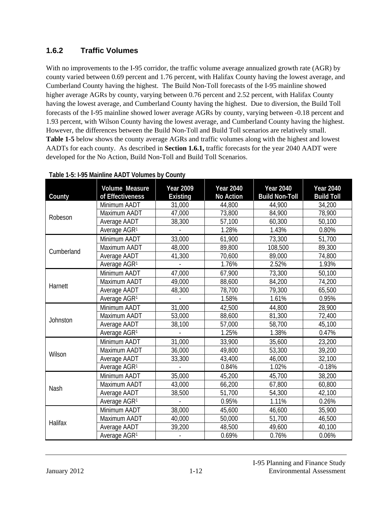### **1.6.2 Traffic Volumes**

With no improvements to the I-95 corridor, the traffic volume average annualized growth rate (AGR) by county varied between 0.69 percent and 1.76 percent, with Halifax County having the lowest average, and Cumberland County having the highest. The Build Non-Toll forecasts of the I-95 mainline showed higher average AGRs by county, varying between 0.76 percent and 2.52 percent, with Halifax County having the lowest average, and Cumberland County having the highest. Due to diversion, the Build Toll forecasts of the I-95 mainline showed lower average AGRs by county, varying between -0.18 percent and 1.93 percent, with Wilson County having the lowest average, and Cumberland County having the highest. However, the differences between the Build Non-Toll and Build Toll scenarios are relatively small. **Table 1-5** below shows the county average AGRs and traffic volumes along with the highest and lowest AADTs for each county. As described in **Section 1.6.1,** traffic forecasts for the year 2040 AADT were developed for the No Action, Build Non-Toll and Build Toll Scenarios.

| County     | <b>Volume Measure</b><br>of Effectiveness | <b>Year 2009</b><br><b>Existing</b> | <b>Year 2040</b><br>No Action | <b>Year 2040</b><br><b>Build Non-Toll</b> | <b>Year 2040</b><br><b>Build Toll</b> |
|------------|-------------------------------------------|-------------------------------------|-------------------------------|-------------------------------------------|---------------------------------------|
| Robeson    | Minimum AADT                              | 31,000                              | 44,800                        | 44,900                                    | 34,200                                |
|            | Maximum AADT                              | 47,000                              | 73,800                        | 84,900                                    | 78,900                                |
|            | Average AADT                              | 38,300                              | 57,100                        | 60,300                                    | 50,100                                |
|            | Average AGR <sup>1</sup>                  |                                     | 1.28%                         | 1.43%                                     | 0.80%                                 |
|            | Minimum AADT                              | 33,000                              | 61,900                        | 73,300                                    | 51,700                                |
| Cumberland | Maximum AADT                              | 48,000                              | 89,800                        | 108,500                                   | 89,300                                |
|            | Average AADT                              | 41,300                              | 70,600                        | 89,000                                    | 74,800                                |
|            | Average AGR <sup>1</sup>                  |                                     | 1.76%                         | 2.52%                                     | 1.93%                                 |
|            | Minimum AADT                              | 47,000                              | 67,900                        | 73,300                                    | 50,100                                |
| Harnett    | Maximum AADT                              | 49,000                              | 88,600                        | 84,200                                    | 74,200                                |
|            | Average AADT                              | 48,300                              | 78,700                        | 79,300                                    | 65,500                                |
|            | Average AGR <sup>1</sup>                  |                                     | 1.58%                         | 1.61%                                     | 0.95%                                 |
|            | Minimum AADT                              | 31,000                              | 42,500                        | 44,800                                    | 28,900                                |
| Johnston   | Maximum AADT                              | 53,000                              | 88,600                        | 81,300                                    | 72,400                                |
|            | Average AADT                              | 38,100                              | 57,000                        | 58,700                                    | 45,100                                |
|            | Average AGR <sup>1</sup>                  |                                     | 1.25%                         | 1.38%                                     | 0.47%                                 |
|            | Minimum AADT                              | 31,000                              | 33,900                        | 35,600                                    | 23,200                                |
| Wilson     | Maximum AADT                              | 36,000                              | 49,800                        | 53,300                                    | 39,200                                |
|            | Average AADT                              | 33,300                              | 43,400                        | 46,000                                    | 32,100                                |
|            | Average AGR <sup>1</sup>                  |                                     | 0.84%                         | 1.02%                                     | $-0.18%$                              |
|            | Minimum AADT                              | 35,000                              | 45,200                        | 45,700                                    | 38,200                                |
| Nash       | Maximum AADT                              | 43,000                              | 66,200                        | 67,800                                    | 60,800                                |
|            | Average AADT                              | 38,500                              | 51,700                        | 54,300                                    | 42,100                                |
|            | Average AGR <sup>1</sup>                  |                                     | 0.95%                         | 1.11%                                     | 0.26%                                 |
|            | Minimum AADT                              | 38,000                              | 45,600                        | 46,600                                    | 35,900                                |
| Halifax    | Maximum AADT                              | 40,000                              | 50,000                        | 51,700                                    | 46,500                                |
|            | Average AADT                              | 39,200                              | 48,500                        | 49,600                                    | 40,100                                |
|            | Average AGR1                              |                                     | 0.69%                         | 0.76%                                     | 0.06%                                 |

#### **Table 1-5: I-95 Mainline AADT Volumes by County**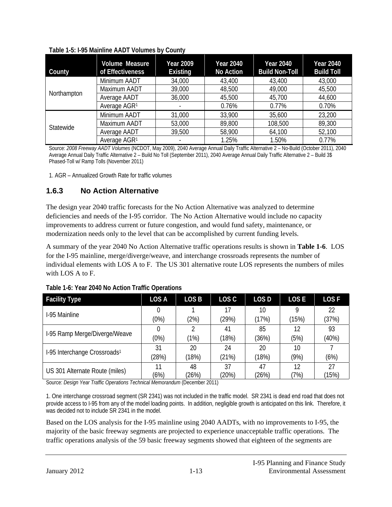| County      | <b>Volume Measure</b><br>of Effectiveness | <b>Year 2009</b><br><b>Existing</b> | <b>Year 2040</b><br><b>No Action</b> | <b>Year 2040</b><br><b>Build Non-Toll</b> | <b>Year 2040</b><br><b>Build Toll</b> |
|-------------|-------------------------------------------|-------------------------------------|--------------------------------------|-------------------------------------------|---------------------------------------|
|             | Minimum AADT                              | 34,000                              | 43,400                               | 43,400                                    | 43,000                                |
| Northampton | Maximum AADT                              | 39,000                              | 48,500                               | 49,000                                    | 45,500                                |
|             | Average AADT                              | 36,000                              | 45,500                               | 45,700                                    | 44,600                                |
|             | Average AGR <sup>1</sup>                  |                                     | 0.76%                                | 0.77%                                     | 0.70%                                 |
|             | Minimum AADT                              | 31,000                              | 33,900                               | 35,600                                    | 23,200                                |
| Statewide   | Maximum AADT                              | 53,000                              | 89,800                               | 108,500                                   | 89,300                                |
|             | Average AADT                              | 39,500                              | 58,900                               | 64,100                                    | 52,100                                |
|             | Average AGR <sup>1</sup>                  |                                     | 1.25%                                | 1.50%                                     | 0.77%                                 |

**Table 1-5: I-95 Mainline AADT Volumes by County**

Source: *2008 Freeway AADT Volumes* (NCDOT, May 2009), 2040 Average Annual Daily Traffic Alternative 2 – No-Build (October 2011), 2040 Average Annual Daily Traffic Alternative 2 – Build No Toll (September 2011), 2040 Average Annual Daily Traffic Alternative 2 – Build 3\$ Phased-Toll w/ Ramp Tolls (November 2011)

1. AGR – Annualized Growth Rate for traffic volumes

### **1.6.3 No Action Alternative**

The design year 2040 traffic forecasts for the No Action Alternative was analyzed to determine deficiencies and needs of the I-95 corridor. The No Action Alternative would include no capacity improvements to address current or future congestion, and would fund safety, maintenance, or modernization needs only to the level that can be accomplished by current funding levels.

A summary of the year 2040 No Action Alternative traffic operations results is shown in **Table 1-6**. LOS for the I-95 mainline, merge/diverge/weave, and interchange crossroads represents the number of individual elements with LOS A to F. The US 301 alternative route LOS represents the numbers of miles with LOS A to F.

| <b>Facility Type</b>                     | LOS A | LOS <sub>B</sub> | LOS C | LOS <sub>D</sub> | <b>LOSE</b> | <b>LOSF</b> |
|------------------------------------------|-------|------------------|-------|------------------|-------------|-------------|
| I-95 Mainline                            | 0     |                  | 17    | 10               | 9           | 22          |
|                                          | (0%)  | (2%)             | (29%) | (17%)            | (15%)       | (37%)       |
|                                          | 0     | C                | 41    | 85               | 12          | 93          |
| I-95 Ramp Merge/Diverge/Weave            | (0%)  | (1%)             | (18%) | (36%)            | (5%)        | (40%)       |
| I-95 Interchange Crossroads <sup>1</sup> | 31    | 20               | 24    | 20               | 10          |             |
|                                          | (28%) | (18%)            | (21%) | (18%)            | (9%)        | (6%)        |
| US 301 Alternate Route (miles)           | 11    | 48               | 37    | 47               | 12          | 27          |
|                                          | (6%)  | (26%)            | (20%) | (26%)            | (7%)        | (15%)       |

**Table 1-6: Year 2040 No Action Traffic Operations**

Source: *Design Year Traffic Operations Technical Memorandum* (December 2011)

1. One interchange crossroad segment (SR 2341) was not included in the traffic model. SR 2341 is dead end road that does not provide access to I-95 from any of the model loading points. In addition, negligible growth is anticipated on this link. Therefore, it was decided not to include SR 2341 in the model.

Based on the LOS analysis for the I-95 mainline using 2040 AADTs, with no improvements to I-95, the majority of the basic freeway segments are projected to experience unacceptable traffic operations. The traffic operations analysis of the 59 basic freeway segments showed that eighteen of the segments are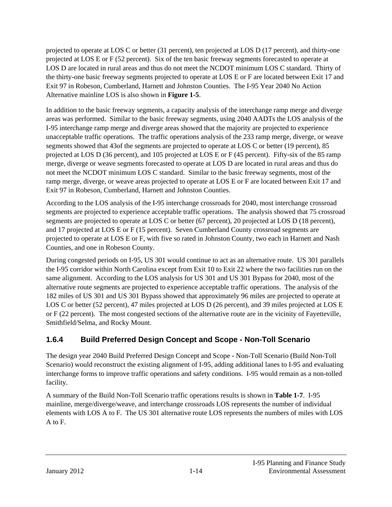projected to operate at LOS C or better (31 percent), ten projected at LOS D (17 percent), and thirty-one projected at LOS E or F (52 percent). Six of the ten basic freeway segments forecasted to operate at LOS D are located in rural areas and thus do not meet the NCDOT minimum LOS C standard. Thirty of the thirty-one basic freeway segments projected to operate at LOS E or F are located between Exit 17 and Exit 97 in Robeson, Cumberland, Harnett and Johnston Counties. The I-95 Year 2040 No Action Alternative mainline LOS is also shown in **Figure 1-5**.

In addition to the basic freeway segments, a capacity analysis of the interchange ramp merge and diverge areas was performed. Similar to the basic freeway segments, using 2040 AADTs the LOS analysis of the I-95 interchange ramp merge and diverge areas showed that the majority are projected to experience unacceptable traffic operations. The traffic operations analysis of the 233 ramp merge, diverge, or weave segments showed that 43of the segments are projected to operate at LOS C or better (19 percent), 85 projected at LOS D (36 percent), and 105 projected at LOS E or F (45 percent). Fifty-six of the 85 ramp merge, diverge or weave segments forecasted to operate at LOS D are located in rural areas and thus do not meet the NCDOT minimum LOS C standard. Similar to the basic freeway segments, most of the ramp merge, diverge, or weave areas projected to operate at LOS E or F are located between Exit 17 and Exit 97 in Robeson, Cumberland, Harnett and Johnston Counties.

According to the LOS analysis of the I-95 interchange crossroads for 2040, most interchange crossroad segments are projected to experience acceptable traffic operations. The analysis showed that 75 crossroad segments are projected to operate at LOS C or better (67 percent), 20 projected at LOS D (18 percent), and 17 projected at LOS E or F (15 percent). Seven Cumberland County crossroad segments are projected to operate at LOS E or F, with five so rated in Johnston County, two each in Harnett and Nash Counties, and one in Robeson County.

During congested periods on I-95, US 301 would continue to act as an alternative route. US 301 parallels the I-95 corridor within North Carolina except from Exit 10 to Exit 22 where the two facilities run on the same alignment. According to the LOS analysis for US 301 and US 301 Bypass for 2040, most of the alternative route segments are projected to experience acceptable traffic operations. The analysis of the 182 miles of US 301 and US 301 Bypass showed that approximately 96 miles are projected to operate at LOS C or better (52 percent), 47 miles projected at LOS D (26 percent), and 39 miles projected at LOS E or F (22 percent). The most congested sections of the alternative route are in the vicinity of Fayetteville, Smithfield/Selma, and Rocky Mount.

# **1.6.4 Build Preferred Design Concept and Scope - Non-Toll Scenario**

The design year 2040 Build Preferred Design Concept and Scope - Non-Toll Scenario (Build Non-Toll Scenario) would reconstruct the existing alignment of I-95, adding additional lanes to I-95 and evaluating interchange forms to improve traffic operations and safety conditions. I-95 would remain as a non-tolled facility.

A summary of the Build Non-Toll Scenario traffic operations results is shown in **Table 1-7**. I-95 mainline, merge/diverge/weave, and interchange crossroads LOS represents the number of individual elements with LOS A to F. The US 301 alternative route LOS represents the numbers of miles with LOS A to F.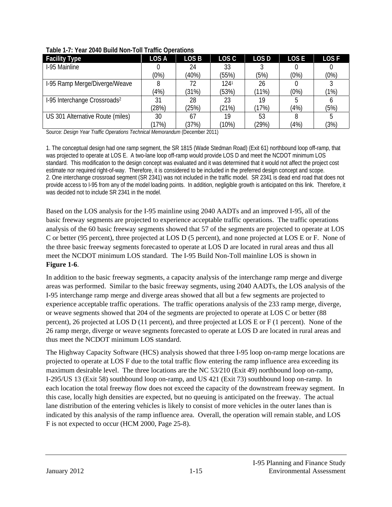| <b>Facility Type</b>                     | LOS A | LOS B | LOS C    | LOS D | <b>LOSE</b> | <b>LOSF</b> |
|------------------------------------------|-------|-------|----------|-------|-------------|-------------|
| I-95 Mainline                            |       | 24    | 33       |       |             |             |
|                                          | (0%)  | (40%) | (55%)    | (5%)  | (0%)        | (0%)        |
| I-95 Ramp Merge/Diverge/Weave            |       | 72    | 1241     | 26    |             |             |
|                                          | (4%)  | (31%) | (53%)    | (11%) | (0%)        | (1%)        |
| 1-95 Interchange Crossroads <sup>2</sup> | 31    | 28    | 23       | 19    |             |             |
|                                          | (28%) | (25%) | (21%)    | (17%) | (4%)        | (5%)        |
| US 301 Alternative Route (miles)         | 30    | 67    | 19       | 53    |             |             |
|                                          | (17%) | (37%) | $(10\%)$ | (29%) | (4%)        | (3%)        |

|  |  |  |  | Table 1-7: Year 2040 Build Non-Toll Traffic Operations |
|--|--|--|--|--------------------------------------------------------|
|  |  |  |  |                                                        |

Source: *Design Year Traffic Operations Technical Memorandum* (December 2011)

1. The conceptual design had one ramp segment, the SR 1815 (Wade Stedman Road) (Exit 61) northbound loop off-ramp, that was projected to operate at LOS E. A two-lane loop off-ramp would provide LOS D and meet the NCDOT minimum LOS standard. This modification to the design concept was evaluated and it was determined that it would not affect the project cost estimate nor required right-of-way. Therefore, it is considered to be included in the preferred design concept and scope. 2. One interchange crossroad segment (SR 2341) was not included in the traffic model. SR 2341 is dead end road that does not provide access to I-95 from any of the model loading points. In addition, negligible growth is anticipated on this link. Therefore, it was decided not to include SR 2341 in the model.

Based on the LOS analysis for the I-95 mainline using 2040 AADTs and an improved I-95, all of the basic freeway segments are projected to experience acceptable traffic operations. The traffic operations analysis of the 60 basic freeway segments showed that 57 of the segments are projected to operate at LOS C or better (95 percent), three projected at LOS D (5 percent), and none projected at LOS E or F. None of the three basic freeway segments forecasted to operate at LOS D are located in rural areas and thus all meet the NCDOT minimum LOS standard. The I-95 Build Non-Toll mainline LOS is shown in **Figure 1-6**.

In addition to the basic freeway segments, a capacity analysis of the interchange ramp merge and diverge areas was performed. Similar to the basic freeway segments, using 2040 AADTs, the LOS analysis of the I-95 interchange ramp merge and diverge areas showed that all but a few segments are projected to experience acceptable traffic operations. The traffic operations analysis of the 233 ramp merge, diverge, or weave segments showed that 204 of the segments are projected to operate at LOS C or better (88 percent), 26 projected at LOS D (11 percent), and three projected at LOS E or F (1 percent). None of the 26 ramp merge, diverge or weave segments forecasted to operate at LOS D are located in rural areas and thus meet the NCDOT minimum LOS standard.

The Highway Capacity Software (HCS) analysis showed that three I-95 loop on-ramp merge locations are projected to operate at LOS F due to the total traffic flow entering the ramp influence area exceeding its maximum desirable level. The three locations are the NC 53/210 (Exit 49) northbound loop on-ramp, I-295/US 13 (Exit 58) southbound loop on-ramp, and US 421 (Exit 73) southbound loop on-ramp. In each location the total freeway flow does not exceed the capacity of the downstream freeway segment. In this case, locally high densities are expected, but no queuing is anticipated on the freeway. The actual lane distribution of the entering vehicles is likely to consist of more vehicles in the outer lanes than is indicated by this analysis of the ramp influence area. Overall, the operation will remain stable, and LOS F is not expected to occur (HCM 2000, Page 25-8).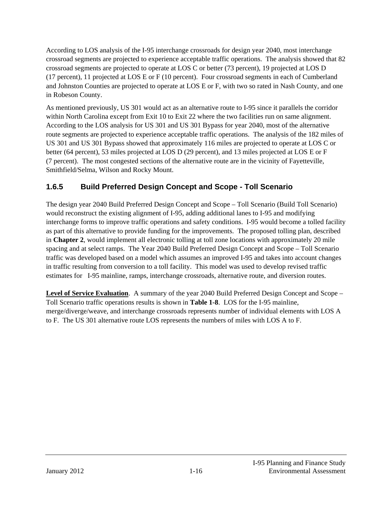According to LOS analysis of the I-95 interchange crossroads for design year 2040, most interchange crossroad segments are projected to experience acceptable traffic operations. The analysis showed that 82 crossroad segments are projected to operate at LOS C or better (73 percent), 19 projected at LOS D (17 percent), 11 projected at LOS E or F (10 percent). Four crossroad segments in each of Cumberland and Johnston Counties are projected to operate at LOS E or F, with two so rated in Nash County, and one in Robeson County.

As mentioned previously, US 301 would act as an alternative route to I-95 since it parallels the corridor within North Carolina except from Exit 10 to Exit 22 where the two facilities run on same alignment. According to the LOS analysis for US 301 and US 301 Bypass for year 2040, most of the alternative route segments are projected to experience acceptable traffic operations. The analysis of the 182 miles of US 301 and US 301 Bypass showed that approximately 116 miles are projected to operate at LOS C or better (64 percent), 53 miles projected at LOS D (29 percent), and 13 miles projected at LOS E or F (7 percent). The most congested sections of the alternative route are in the vicinity of Fayetteville, Smithfield/Selma, Wilson and Rocky Mount.

# **1.6.5 Build Preferred Design Concept and Scope - Toll Scenario**

The design year 2040 Build Preferred Design Concept and Scope – Toll Scenario (Build Toll Scenario) would reconstruct the existing alignment of I-95, adding additional lanes to I-95 and modifying interchange forms to improve traffic operations and safety conditions. I-95 would become a tolled facility as part of this alternative to provide funding for the improvements. The proposed tolling plan, described in **Chapter 2**, would implement all electronic tolling at toll zone locations with approximately 20 mile spacing and at select ramps. The Year 2040 Build Preferred Design Concept and Scope – Toll Scenario traffic was developed based on a model which assumes an improved I-95 and takes into account changes in traffic resulting from conversion to a toll facility. This model was used to develop revised traffic estimates for I-95 mainline, ramps, interchange crossroads, alternative route, and diversion routes.

Level of Service Evaluation. A summary of the year 2040 Build Preferred Design Concept and Scope – Toll Scenario traffic operations results is shown in **Table 1-8**. LOS for the I-95 mainline, merge/diverge/weave, and interchange crossroads represents number of individual elements with LOS A to F. The US 301 alternative route LOS represents the numbers of miles with LOS A to F.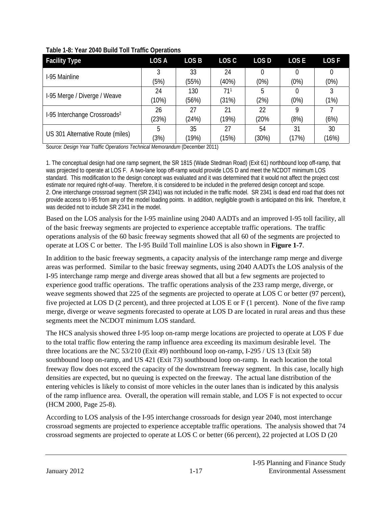| <b>Facility Type</b>                     | LOS A    | LOS <sub>B</sub> | LOS C | LOS D    | LOS E | LOS <sub>F</sub> |
|------------------------------------------|----------|------------------|-------|----------|-------|------------------|
| I-95 Mainline                            | 3        | 33               | 24    |          |       |                  |
|                                          | (5%)     | (55%)            | (40%) | $(0\%)$  | (0%)  | (0%)             |
|                                          | 24       | 130              | 711   | 5        |       |                  |
| I-95 Merge / Diverge / Weave             | $(10\%)$ | (56%)            | (31%) | (2%)     | (0%)  | (1%)             |
|                                          | 26       | 27               | 21    | 22       | Q     |                  |
| I-95 Interchange Crossroads <sup>2</sup> | (23%)    | (24%)            | (19%) | (20%     | (8%)  | (6%)             |
|                                          | 5        | 35               | 27    | 54       | 31    | 30               |
| US 301 Alternative Route (miles)         | (3%)     | (19%)            | (15%) | $(30\%)$ | (17%) | (16%)            |

#### **Table 1-8: Year 2040 Build Toll Traffic Operations**

Source: *Design Year Traffic Operations Technical Memorandum* (December 2011)

1. The conceptual design had one ramp segment, the SR 1815 (Wade Stedman Road) (Exit 61) northbound loop off-ramp, that was projected to operate at LOS F. A two-lane loop off-ramp would provide LOS D and meet the NCDOT minimum LOS standard. This modification to the design concept was evaluated and it was determined that it would not affect the project cost estimate nor required right-of-way. Therefore, it is considered to be included in the preferred design concept and scope. 2. One interchange crossroad segment (SR 2341) was not included in the traffic model. SR 2341 is dead end road that does not provide access to I-95 from any of the model loading points. In addition, negligible growth is anticipated on this link. Therefore, it was decided not to include SR 2341 in the model.

Based on the LOS analysis for the I-95 mainline using 2040 AADTs and an improved I-95 toll facility, all of the basic freeway segments are projected to experience acceptable traffic operations. The traffic operations analysis of the 60 basic freeway segments showed that all 60 of the segments are projected to operate at LOS C or better. The I-95 Build Toll mainline LOS is also shown in **Figure 1-7**.

In addition to the basic freeway segments, a capacity analysis of the interchange ramp merge and diverge areas was performed. Similar to the basic freeway segments, using 2040 AADTs the LOS analysis of the I-95 interchange ramp merge and diverge areas showed that all but a few segments are projected to experience good traffic operations. The traffic operations analysis of the 233 ramp merge, diverge, or weave segments showed that 225 of the segments are projected to operate at LOS C or better (97 percent), five projected at LOS D (2 percent), and three projected at LOS E or F (1 percent). None of the five ramp merge, diverge or weave segments forecasted to operate at LOS D are located in rural areas and thus these segments meet the NCDOT minimum LOS standard.

The HCS analysis showed three I-95 loop on-ramp merge locations are projected to operate at LOS F due to the total traffic flow entering the ramp influence area exceeding its maximum desirable level. The three locations are the NC 53/210 (Exit 49) northbound loop on-ramp, I-295 / US 13 (Exit 58) southbound loop on-ramp, and US 421 (Exit 73) southbound loop on-ramp. In each location the total freeway flow does not exceed the capacity of the downstream freeway segment. In this case, locally high densities are expected, but no queuing is expected on the freeway. The actual lane distribution of the entering vehicles is likely to consist of more vehicles in the outer lanes than is indicated by this analysis of the ramp influence area. Overall, the operation will remain stable, and LOS F is not expected to occur (HCM 2000, Page 25-8).

According to LOS analysis of the I-95 interchange crossroads for design year 2040, most interchange crossroad segments are projected to experience acceptable traffic operations. The analysis showed that 74 crossroad segments are projected to operate at LOS C or better (66 percent), 22 projected at LOS D (20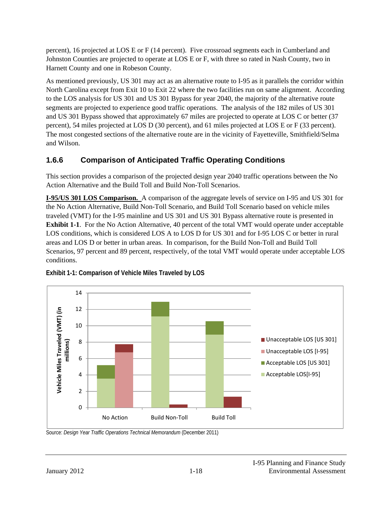percent), 16 projected at LOS E or F (14 percent). Five crossroad segments each in Cumberland and Johnston Counties are projected to operate at LOS E or F, with three so rated in Nash County, two in Harnett County and one in Robeson County.

As mentioned previously, US 301 may act as an alternative route to I-95 as it parallels the corridor within North Carolina except from Exit 10 to Exit 22 where the two facilities run on same alignment. According to the LOS analysis for US 301 and US 301 Bypass for year 2040, the majority of the alternative route segments are projected to experience good traffic operations. The analysis of the 182 miles of US 301 and US 301 Bypass showed that approximately 67 miles are projected to operate at LOS C or better (37 percent), 54 miles projected at LOS D (30 percent), and 61 miles projected at LOS E or F (33 percent). The most congested sections of the alternative route are in the vicinity of Fayetteville, Smithfield/Selma and Wilson.

# **1.6.6 Comparison of Anticipated Traffic Operating Conditions**

This section provides a comparison of the projected design year 2040 traffic operations between the No Action Alternative and the Build Toll and Build Non-Toll Scenarios.

**I-95/US 301 LOS Comparison.** A comparison of the aggregate levels of service on I-95 and US 301 for the No Action Alternative, Build Non-Toll Scenario, and Build Toll Scenario based on vehicle miles traveled (VMT) for the I-95 mainline and US 301 and US 301 Bypass alternative route is presented in **Exhibit 1-1**. For the No Action Alternative, 40 percent of the total VMT would operate under acceptable LOS conditions, which is considered LOS A to LOS D for US 301 and for I-95 LOS C or better in rural areas and LOS D or better in urban areas. In comparison, for the Build Non-Toll and Build Toll Scenarios, 97 percent and 89 percent, respectively, of the total VMT would operate under acceptable LOS conditions.



**Exhibit 1-1: Comparison of Vehicle Miles Traveled by LOS** 

Source: *Design Year Traffic Operations Technical Memorandum* (December 2011)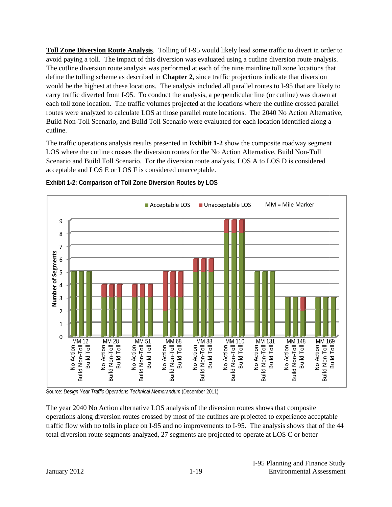Toll Zone Diversion Route Analysis. Tolling of I-95 would likely lead some traffic to divert in order to avoid paying a toll. The impact of this diversion was evaluated using a cutline diversion route analysis. The cutline diversion route analysis was performed at each of the nine mainline toll zone locations that define the tolling scheme as described in **Chapter 2**, since traffic projections indicate that diversion would be the highest at these locations. The analysis included all parallel routes to I-95 that are likely to carry traffic diverted from I-95. To conduct the analysis, a perpendicular line (or cutline) was drawn at each toll zone location. The traffic volumes projected at the locations where the cutline crossed parallel routes were analyzed to calculate LOS at those parallel route locations. The 2040 No Action Alternative, Build Non-Toll Scenario, and Build Toll Scenario were evaluated for each location identified along a cutline.

The traffic operations analysis results presented in Exhibit 1-2 show the composite roadway segment LOS where the cutline crosses the diversion routes for the No Action Alternative, Build Non-Toll Scenario and Build Toll Scenario. For the diversion route analysis, LOS A to LOS D is considered acceptable and LOS E or LOS F is considered unacceptable.





Source: *Design Year Traffic Operations Technical Memorandum* (December 2011)

The year 2040 No Action alternative LOS analysis of the diversion routes shows that composite operations along diversion routes crossed by most of the cutlines are projected to experience acceptable traffic flow with no tolls in place on I-95 and no improvements to I-95. The analysis shows that of th total diversion route segments analyzed, 27 segments are projected to operate at LOS C or better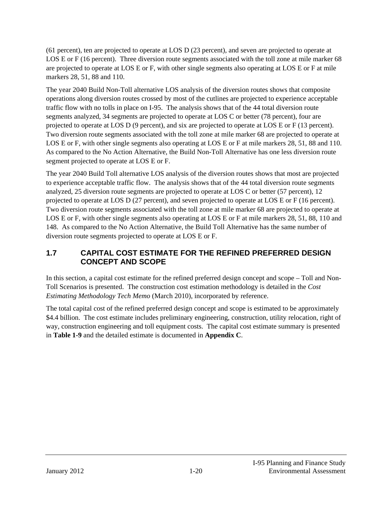(61 percent), ten are projected to operate at LOS D (23 percent), and seven are projected to operate at LOS E or F (16 percent). Three diversion route segments associated with the toll zone at mile marker 68 are projected to operate at LOS E or F, with other single segments also operating at LOS E or F at mile markers 28, 51, 88 and 110.

The year 2040 Build Non-Toll alternative LOS analysis of the diversion routes shows that composite operations along diversion routes crossed by most of the cutlines are projected to experience acceptable traffic flow with no tolls in place on I-95. The analysis shows that of the 44 total diversion route segments analyzed, 34 segments are projected to operate at LOS C or better (78 percent), four are projected to operate at LOS D (9 percent), and six are projected to operate at LOS E or F (13 percent). Two diversion route segments associated with the toll zone at mile marker 68 are projected to operate at LOS E or F, with other single segments also operating at LOS E or F at mile markers 28, 51, 88 and 110. As compared to the No Action Alternative, the Build Non-Toll Alternative has one less diversion route segment projected to operate at LOS E or F.

The year 2040 Build Toll alternative LOS analysis of the diversion routes shows that most are projected to experience acceptable traffic flow. The analysis shows that of the 44 total diversion route segments analyzed, 25 diversion route segments are projected to operate at LOS C or better (57 percent), 12 projected to operate at LOS D (27 percent), and seven projected to operate at LOS E or F (16 percent). Two diversion route segments associated with the toll zone at mile marker 68 are projected to operate at LOS E or F, with other single segments also operating at LOS E or F at mile markers 28, 51, 88, 110 and 148. As compared to the No Action Alternative, the Build Toll Alternative has the same number of diversion route segments projected to operate at LOS E or F.

### **1.7 CAPITAL COST ESTIMATE FOR THE REFINED PREFERRED DESIGN CONCEPT AND SCOPE**

In this section, a capital cost estimate for the refined preferred design concept and scope – Toll and Non-Toll Scenarios is presented. The construction cost estimation methodology is detailed in the *Cost Estimating Methodology Tech Memo* (March 2010), incorporated by reference.

The total capital cost of the refined preferred design concept and scope is estimated to be approximately \$4.4 billion. The cost estimate includes preliminary engineering, construction, utility relocation, right of way, construction engineering and toll equipment costs. The capital cost estimate summary is presented in **Table 1-9** and the detailed estimate is documented in **Appendix C**.